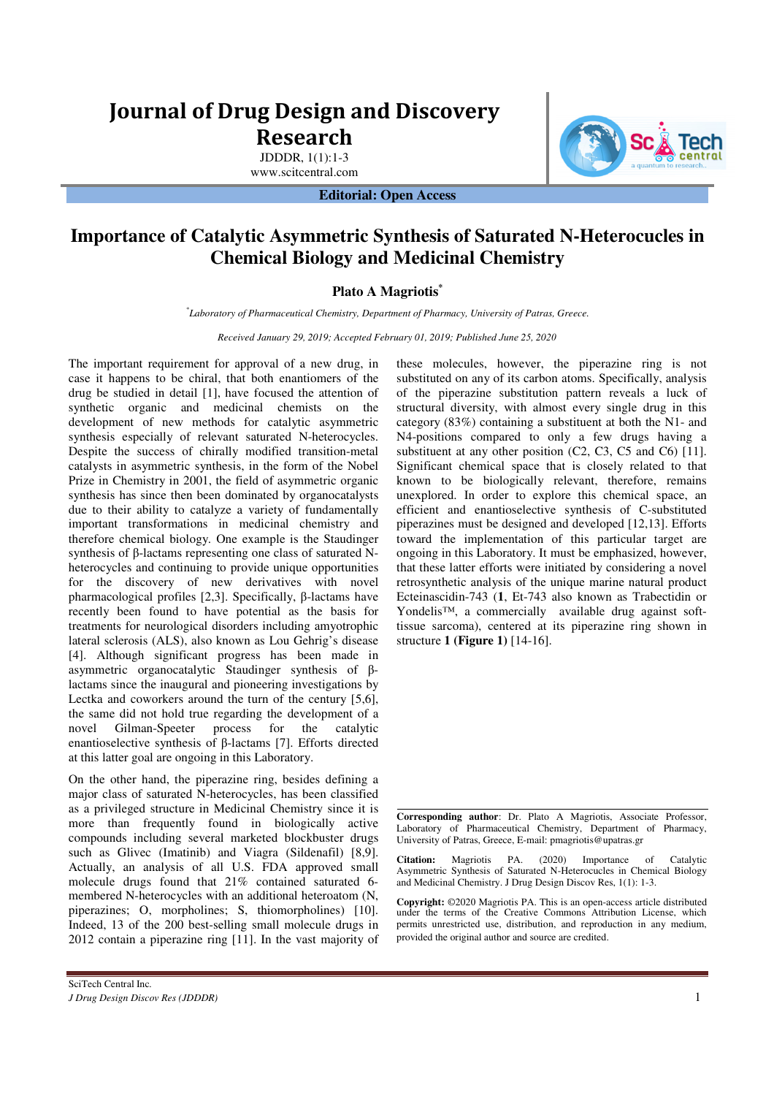# **Journal of Drug Design and Discovery Research**

JDDDR, 1(1):1-3 www.scitcentral.com

**Editorial: Open Access** 



# **Importance of Catalytic Asymmetric Synthesis of Saturated N-Heterocucles in Chemical Biology and Medicinal Chemistry**

## **Plato A Magriotis\***

*\* Laboratory of Pharmaceutical Chemistry, Department of Pharmacy, University of Patras, Greece.* 

*Received January 29, 2019; Accepted February 01, 2019; Published June 25, 2020*

The important requirement for approval of a new drug, in case it happens to be chiral, that both enantiomers of the drug be studied in detail [1], have focused the attention of synthetic organic and medicinal chemists on the development of new methods for catalytic asymmetric synthesis especially of relevant saturated N-heterocycles. Despite the success of chirally modified transition-metal catalysts in asymmetric synthesis, in the form of the Nobel Prize in Chemistry in 2001, the field of asymmetric organic synthesis has since then been dominated by organocatalysts due to their ability to catalyze a variety of fundamentally important transformations in medicinal chemistry and therefore chemical biology. One example is the Staudinger synthesis of β-lactams representing one class of saturated Nheterocycles and continuing to provide unique opportunities for the discovery of new derivatives with novel pharmacological profiles [2,3]. Specifically, β-lactams have recently been found to have potential as the basis for treatments for neurological disorders including amyotrophic lateral sclerosis (ALS), also known as Lou Gehrig's disease [4]. Although significant progress has been made in asymmetric organocatalytic Staudinger synthesis of βlactams since the inaugural and pioneering investigations by Lectka and coworkers around the turn of the century [5,6], the same did not hold true regarding the development of a novel Gilman-Speeter process for the catalytic enantioselective synthesis of β-lactams [7]. Efforts directed at this latter goal are ongoing in this Laboratory.

On the other hand, the piperazine ring, besides defining a major class of saturated N-heterocycles, has been classified as a privileged structure in Medicinal Chemistry since it is more than frequently found in biologically active compounds including several marketed blockbuster drugs such as Glivec (Imatinib) and Viagra (Sildenafil) [8,9]. Actually, an analysis of all U.S. FDA approved small molecule drugs found that 21% contained saturated 6 membered N-heterocycles with an additional heteroatom (N, piperazines; O, morpholines; S, thiomorpholines) [10]. Indeed, 13 of the 200 best-selling small molecule drugs in 2012 contain a piperazine ring [11]. In the vast majority of these molecules, however, the piperazine ring is not substituted on any of its carbon atoms. Specifically, analysis of the piperazine substitution pattern reveals a luck of structural diversity, with almost every single drug in this category (83%) containing a substituent at both the N1- and N4-positions compared to only a few drugs having a substituent at any other position (C2, C3, C5 and C6) [11]. Significant chemical space that is closely related to that known to be biologically relevant, therefore, remains unexplored. In order to explore this chemical space, an efficient and enantioselective synthesis of C-substituted piperazines must be designed and developed [12,13]. Efforts toward the implementation of this particular target are ongoing in this Laboratory. It must be emphasized, however, that these latter efforts were initiated by considering a novel retrosynthetic analysis of the unique marine natural product Ecteinascidin-743 (**1**, Et-743 also known as Trabectidin or Yondelis™, a commercially available drug against softtissue sarcoma), centered at its piperazine ring shown in structure **1 (Figure 1)** [14-16].

**Corresponding author**: Dr. Plato A Magriotis, Associate Professor, Laboratory of Pharmaceutical Chemistry, Department of Pharmacy, University of Patras, Greece, E-mail: pmagriotis@upatras.gr

**Citation:** Magriotis PA. (2020) Importance of Catalytic Asymmetric Synthesis of Saturated N-Heterocucles in Chemical Biology and Medicinal Chemistry. J Drug Design Discov Res, 1(1): 1-3.

**Copyright:** ©2020 Magriotis PA. This is an open-access article distributed under the terms of the Creative Commons Attribution License, which permits unrestricted use, distribution, and reproduction in any medium, provided the original author and source are credited.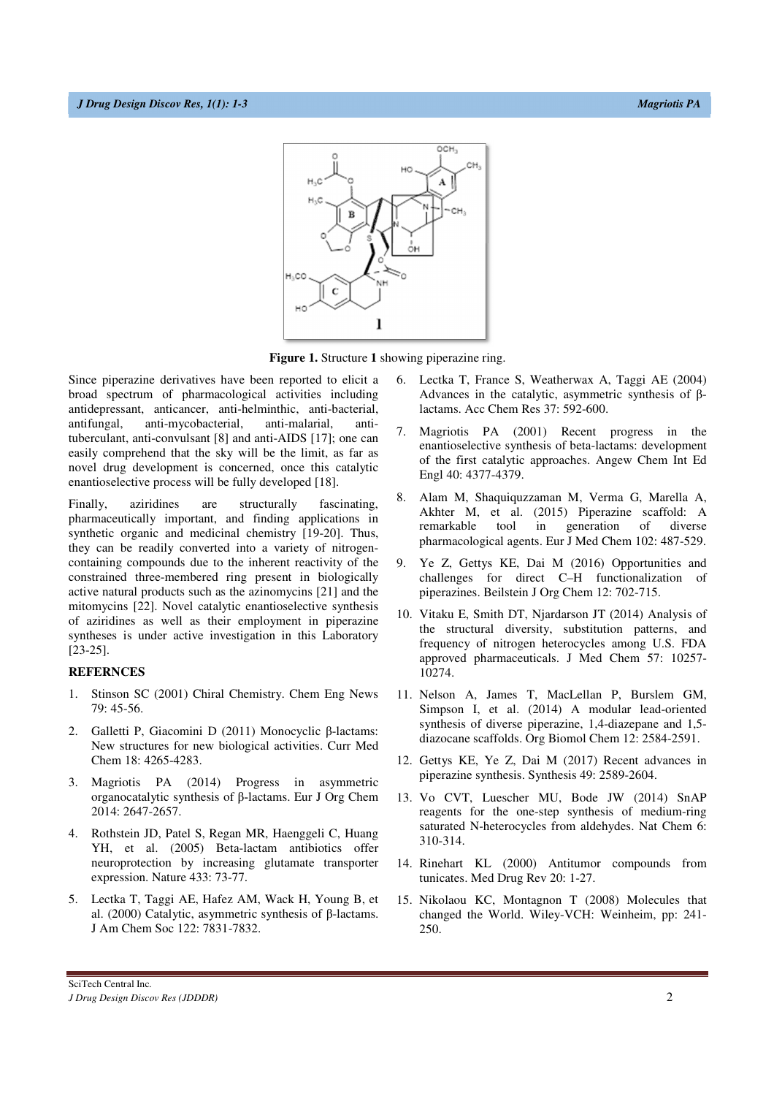

**Figure 1.** Structure **1** showing piperazine ring.

Since piperazine derivatives have been reported to elicit a broad spectrum of pharmacological activities including antidepressant, anticancer, anti-helminthic, anti-bacterial, antifungal, anti-mycobacterial, anti-malarial, antituberculant, anti-convulsant [8] and anti-AIDS [17]; one can easily comprehend that the sky will be the limit, as far as novel drug development is concerned, once this catalytic enantioselective process will be fully developed [18].

Finally, aziridines are structurally fascinating, pharmaceutically important, and finding applications in synthetic organic and medicinal chemistry [19-20]. Thus, they can be readily converted into a variety of nitrogencontaining compounds due to the inherent reactivity of the constrained three-membered ring present in biologically active natural products such as the azinomycins [21] and the mitomycins [22]. Novel catalytic enantioselective synthesis of aziridines as well as their employment in piperazine syntheses is under active investigation in this Laboratory [23-25].

#### **REFERNCES**

- 1. Stinson SC (2001) Chiral Chemistry. Chem Eng News 79: 45-56.
- 2. Galletti P, Giacomini D (2011) Monocyclic β-lactams: New structures for new biological activities. Curr Med Chem 18: 4265-4283.
- 3. Magriotis PA (2014) Progress in asymmetric organocatalytic synthesis of β‐lactams. Eur J Org Chem 2014: 2647-2657.
- 4. Rothstein JD, Patel S, Regan MR, Haenggeli C, Huang YH, et al. (2005) Beta-lactam antibiotics offer neuroprotection by increasing glutamate transporter expression. Nature 433: 73-77.
- 5. Lectka T, Taggi AE, Hafez AM, Wack H, Young B, et al. (2000) Catalytic, asymmetric synthesis of β-lactams. J Am Chem Soc 122: 7831-7832.
- 6. Lectka T, France S, Weatherwax A, Taggi AE (2004) Advances in the catalytic, asymmetric synthesis of βlactams. Acc Chem Res 37: 592-600.
- 7. Magriotis PA (2001) Recent progress in the enantioselective synthesis of beta-lactams: development of the first catalytic approaches. Angew Chem Int Ed Engl 40: 4377-4379.
- 8. Alam M, Shaquiquzzaman M, Verma G, Marella A, Akhter M, et al. (2015) Piperazine scaffold: A remarkable tool in generation of diverse pharmacological agents. Eur J Med Chem 102: 487-529.
- 9. Ye Z, Gettys KE, Dai M (2016) Opportunities and challenges for direct C–H functionalization of piperazines. Beilstein J Org Chem 12: 702-715.
- 10. Vitaku E, Smith DT, Njardarson JT (2014) Analysis of the structural diversity, substitution patterns, and frequency of nitrogen heterocycles among U.S. FDA approved pharmaceuticals. J Med Chem 57: 10257- 10274.
- 11. Nelson A, James T, MacLellan P, Burslem GM, Simpson I, et al. (2014) A modular lead-oriented synthesis of diverse piperazine, 1,4-diazepane and 1,5 diazocane scaffolds. Org Biomol Chem 12: 2584-2591.
- 12. Gettys KE, Ye Z, Dai M (2017) Recent advances in piperazine synthesis. Synthesis 49: 2589-2604.
- 13. Vo CVT, Luescher MU, Bode JW (2014) SnAP reagents for the one-step synthesis of medium-ring saturated N-heterocycles from aldehydes. Nat Chem 6: 310-314.
- 14. Rinehart KL (2000) Antitumor compounds from tunicates. Med Drug Rev 20: 1-27.
- 15. Nikolaou KC, Montagnon T (2008) Molecules that changed the World. Wiley-VCH: Weinheim, pp: 241- 250.